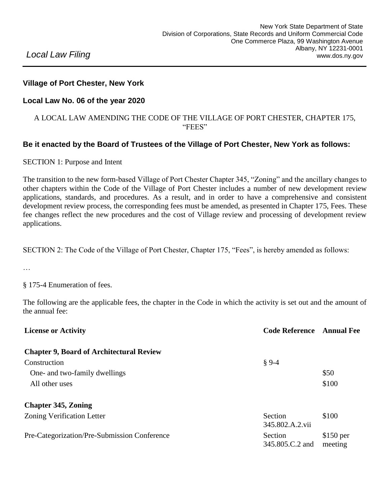# *Local Law Filing*

## **Village of Port Chester, New York**

#### **Local Law No. 06 of the year 2020**

#### A LOCAL LAW AMENDING THE CODE OF THE VILLAGE OF PORT CHESTER, CHAPTER 175, "FEES"

### **Be it enacted by the Board of Trustees of the Village of Port Chester, New York as follows:**

SECTION 1: Purpose and Intent

The transition to the new form-based Village of Port Chester Chapter 345, "Zoning" and the ancillary changes to other chapters within the Code of the Village of Port Chester includes a number of new development review applications, standards, and procedures. As a result, and in order to have a comprehensive and consistent development review process, the corresponding fees must be amended, as presented in Chapter 175, Fees. These fee changes reflect the new procedures and the cost of Village review and processing of development review applications.

SECTION 2: The Code of the Village of Port Chester, Chapter 175, "Fees", is hereby amended as follows:

…

§ 175-4 Enumeration of fees.

The following are the applicable fees, the chapter in the Code in which the activity is set out and the amount of the annual fee:

| <b>License or Activity</b>                      | <b>Code Reference</b> Annual Fee |            |
|-------------------------------------------------|----------------------------------|------------|
| <b>Chapter 9, Board of Architectural Review</b> |                                  |            |
| Construction                                    | $§ 9-4$                          |            |
| One- and two-family dwellings                   |                                  | \$50       |
| All other uses                                  |                                  | \$100      |
| <b>Chapter 345, Zoning</b>                      |                                  |            |
| <b>Zoning Verification Letter</b>               | Section                          | \$100      |
|                                                 | 345.802.A.2.vii                  |            |
| Pre-Categorization/Pre-Submission Conference    | Section                          | $$150$ per |
|                                                 | 345.805.C.2 and                  | meeting    |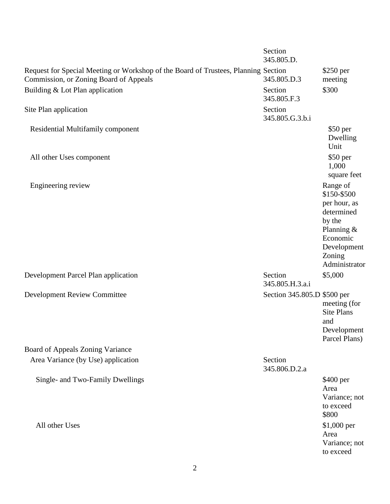|                                                                                                                              | Section<br>345.805.D.       |                                                                                                                                       |
|------------------------------------------------------------------------------------------------------------------------------|-----------------------------|---------------------------------------------------------------------------------------------------------------------------------------|
| Request for Special Meeting or Workshop of the Board of Trustees, Planning Section<br>Commission, or Zoning Board of Appeals | 345.805.D.3                 | $$250$ per<br>meeting                                                                                                                 |
| Building & Lot Plan application                                                                                              | Section<br>345.805.F.3      | \$300                                                                                                                                 |
| Site Plan application                                                                                                        | Section<br>345.805.G.3.b.i  |                                                                                                                                       |
| Residential Multifamily component                                                                                            |                             | $$50$ per<br>Dwelling<br>Unit                                                                                                         |
| All other Uses component                                                                                                     |                             | \$50 per<br>1,000<br>square feet                                                                                                      |
| Engineering review                                                                                                           |                             | Range of<br>\$150-\$500<br>per hour, as<br>determined<br>by the<br>Planning $&$<br>Economic<br>Development<br>Zoning<br>Administrator |
| Development Parcel Plan application                                                                                          | Section<br>345.805.H.3.a.i  | \$5,000                                                                                                                               |
| <b>Development Review Committee</b>                                                                                          | Section 345.805.D \$500 per | meeting (for<br><b>Site Plans</b><br>and<br>Development<br>Parcel Plans)                                                              |
| Board of Appeals Zoning Variance                                                                                             |                             |                                                                                                                                       |
| Area Variance (by Use) application                                                                                           | Section<br>345.806.D.2.a    |                                                                                                                                       |
| Single- and Two-Family Dwellings                                                                                             |                             | \$400 per<br>Area<br>Variance; not<br>to exceed<br>\$800                                                                              |
| All other Uses                                                                                                               |                             | \$1,000 per<br>Area<br>Variance; not<br>to exceed                                                                                     |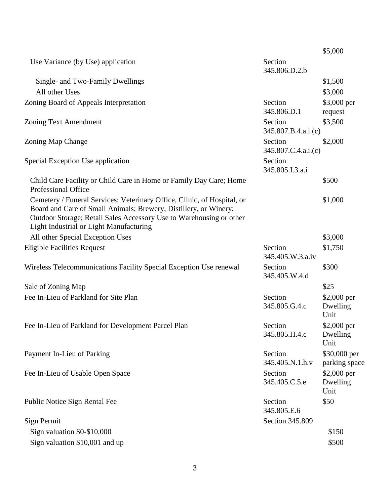|                                                                                                                                                                                                                                                               |                                | \$5,000                          |
|---------------------------------------------------------------------------------------------------------------------------------------------------------------------------------------------------------------------------------------------------------------|--------------------------------|----------------------------------|
| Use Variance (by Use) application                                                                                                                                                                                                                             | Section<br>345.806.D.2.b       |                                  |
| Single- and Two-Family Dwellings                                                                                                                                                                                                                              |                                | \$1,500                          |
| All other Uses                                                                                                                                                                                                                                                |                                | \$3,000                          |
| Zoning Board of Appeals Interpretation                                                                                                                                                                                                                        | Section<br>345.806.D.1         | \$3,000 per<br>request           |
| Zoning Text Amendment                                                                                                                                                                                                                                         | Section<br>345.807.B.4.a.i.(c) | \$3,500                          |
| Zoning Map Change                                                                                                                                                                                                                                             | Section<br>345.807.C.4.a.i.(c) | \$2,000                          |
| Special Exception Use application                                                                                                                                                                                                                             | Section<br>345.805.I.3.a.i     |                                  |
| Child Care Facility or Child Care in Home or Family Day Care; Home<br>Professional Office                                                                                                                                                                     |                                | \$500                            |
| Cemetery / Funeral Services; Veterinary Office, Clinic, of Hospital, or<br>Board and Care of Small Animals; Brewery, Distillery, or Winery;<br>Outdoor Storage; Retail Sales Accessory Use to Warehousing or other<br>Light Industrial or Light Manufacturing |                                | \$1,000                          |
| All other Special Exception Uses                                                                                                                                                                                                                              |                                | \$3,000                          |
| <b>Eligible Facilities Request</b>                                                                                                                                                                                                                            | Section<br>345.405.W.3.a.iv    | \$1,750                          |
| Wireless Telecommunications Facility Special Exception Use renewal                                                                                                                                                                                            | Section<br>345.405.W.4.d       | \$300                            |
| Sale of Zoning Map                                                                                                                                                                                                                                            |                                | \$25                             |
| Fee In-Lieu of Parkland for Site Plan                                                                                                                                                                                                                         | Section<br>345.805.G.4.c       | $$2,000$ per<br>Dwelling<br>Unit |
| Fee In-Lieu of Parkland for Development Parcel Plan                                                                                                                                                                                                           | Section<br>345.805.H.4.c       | \$2,000 per<br>Dwelling<br>Unit  |
| Payment In-Lieu of Parking                                                                                                                                                                                                                                    | Section<br>345.405.N.1.h.v     | \$30,000 per<br>parking space    |
| Fee In-Lieu of Usable Open Space                                                                                                                                                                                                                              | Section<br>345.405.C.5.e       | \$2,000 per<br>Dwelling<br>Unit  |
| Public Notice Sign Rental Fee                                                                                                                                                                                                                                 | Section<br>345.805.E.6         | \$50                             |
| Sign Permit                                                                                                                                                                                                                                                   | Section 345.809                |                                  |
| Sign valuation \$0-\$10,000                                                                                                                                                                                                                                   |                                | \$150                            |
| Sign valuation \$10,001 and up                                                                                                                                                                                                                                |                                | \$500                            |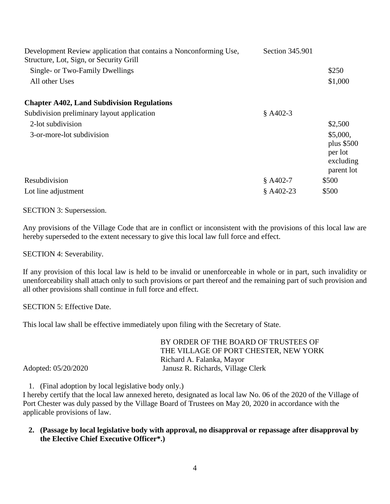| Development Review application that contains a Nonconforming Use,<br>Structure, Lot, Sign, or Security Grill | Section 345.901 |                                                               |
|--------------------------------------------------------------------------------------------------------------|-----------------|---------------------------------------------------------------|
| Single- or Two-Family Dwellings                                                                              |                 | \$250                                                         |
| All other Uses                                                                                               |                 | \$1,000                                                       |
| <b>Chapter A402, Land Subdivision Regulations</b>                                                            |                 |                                                               |
| Subdivision preliminary layout application                                                                   | $$A402-3$       |                                                               |
| 2-lot subdivision                                                                                            |                 | \$2,500                                                       |
| 3-or-more-lot subdivision                                                                                    |                 | \$5,000,<br>plus $$500$<br>per lot<br>excluding<br>parent lot |
| Resubdivision                                                                                                | $$A402-7$       | \$500                                                         |
| Lot line adjustment                                                                                          | $$A402-23$      | \$500                                                         |

SECTION 3: Supersession.

Any provisions of the Village Code that are in conflict or inconsistent with the provisions of this local law are hereby superseded to the extent necessary to give this local law full force and effect.

SECTION 4: Severability.

If any provision of this local law is held to be invalid or unenforceable in whole or in part, such invalidity or unenforceability shall attach only to such provisions or part thereof and the remaining part of such provision and all other provisions shall continue in full force and effect.

SECTION 5: Effective Date.

This local law shall be effective immediately upon filing with the Secretary of State.

|                     | BY ORDER OF THE BOARD OF TRUSTEES OF  |
|---------------------|---------------------------------------|
|                     | THE VILLAGE OF PORT CHESTER, NEW YORK |
|                     | Richard A. Falanka, Mayor             |
| Adopted: 05/20/2020 | Janusz R. Richards, Village Clerk     |

1. (Final adoption by local legislative body only.)

I hereby certify that the local law annexed hereto, designated as local law No. 06 of the 2020 of the Village of Port Chester was duly passed by the Village Board of Trustees on May 20, 2020 in accordance with the applicable provisions of law.

**2. (Passage by local legislative body with approval, no disapproval or repassage after disapproval by the Elective Chief Executive Officer\*.)**